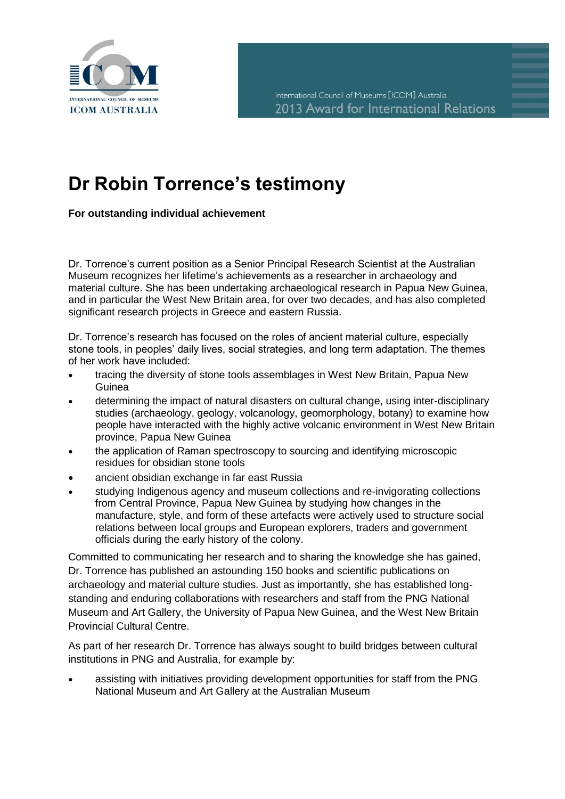

## **Dr Robin Torrence's testimony**

**For outstanding individual achievement**

Dr. Torrence's current position as a Senior Principal Research Scientist at the Australian Museum recognizes her lifetime's achievements as a researcher in archaeology and material culture. She has been undertaking archaeological research in Papua New Guinea, and in particular the West New Britain area, for over two decades, and has also completed significant research projects in Greece and eastern Russia.

Dr. Torrence's research has focused on the roles of ancient material culture, especially stone tools, in peoples' daily lives, social strategies, and long term adaptation. The themes of her work have included:

- tracing the diversity of stone tools assemblages in West New Britain, Papua New Guinea
- determining the impact of natural disasters on cultural change, using inter-disciplinary studies (archaeology, geology, volcanology, geomorphology, botany) to examine how people have interacted with the highly active volcanic environment in West New Britain province, Papua New Guinea
- the application of Raman spectroscopy to sourcing and identifying microscopic residues for obsidian stone tools
- ancient obsidian exchange in far east Russia
- studying Indigenous agency and museum collections and re-invigorating collections from Central Province, Papua New Guinea by studying how changes in the manufacture, style, and form of these artefacts were actively used to structure social relations between local groups and European explorers, traders and government officials during the early history of the colony.

Committed to communicating her research and to sharing the knowledge she has gained, Dr. Torrence has published an astounding 150 books and scientific publications on archaeology and material culture studies. Just as importantly, she has established longstanding and enduring collaborations with researchers and staff from the PNG National Museum and Art Gallery, the University of Papua New Guinea, and the West New Britain Provincial Cultural Centre.

As part of her research Dr. Torrence has always sought to build bridges between cultural institutions in PNG and Australia, for example by:

 assisting with initiatives providing development opportunities for staff from the PNG National Museum and Art Gallery at the Australian Museum